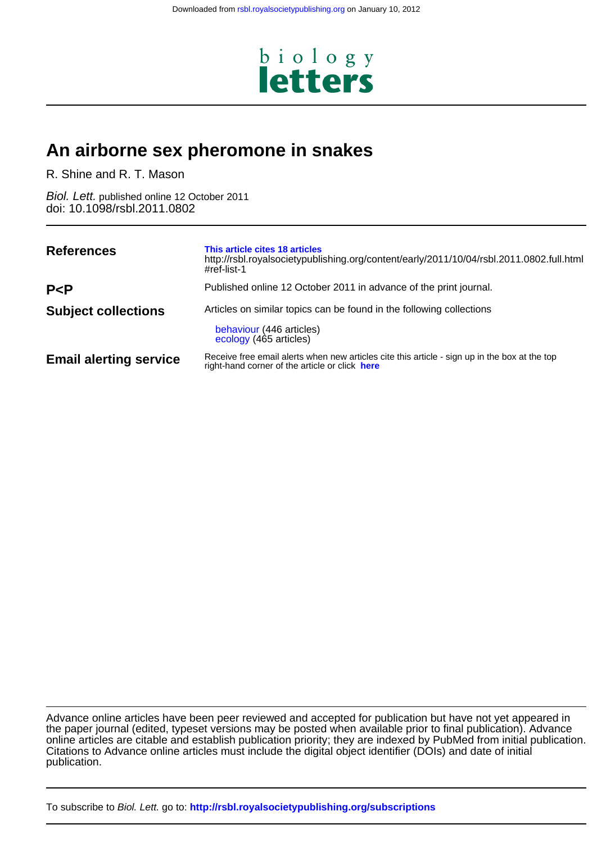

## **An airborne sex pheromone in snakes**

R. Shine and R. T. Mason

doi: 10.1098/rsbl.2011.0802 Biol. Lett. published online 12 October 2011

| <b>References</b>             | This article cites 18 articles<br>http://rsbl.royalsocietypublishing.org/content/early/2011/10/04/rsbl.2011.0802.full.html<br>$#ref-list-1$     |
|-------------------------------|-------------------------------------------------------------------------------------------------------------------------------------------------|
| P < P                         | Published online 12 October 2011 in advance of the print journal.                                                                               |
| <b>Subject collections</b>    | Articles on similar topics can be found in the following collections<br>behaviour (446 articles)<br>ecology (465 articles)                      |
| <b>Email alerting service</b> | Receive free email alerts when new articles cite this article - sign up in the box at the top<br>right-hand corner of the article or click here |

publication. Citations to Advance online articles must include the digital object identifier (DOIs) and date of initial online articles are citable and establish publication priority; they are indexed by PubMed from initial publication. the paper journal (edited, typeset versions may be posted when available prior to final publication). Advance Advance online articles have been peer reviewed and accepted for publication but have not yet appeared in

To subscribe to Biol. Lett. go to: **<http://rsbl.royalsocietypublishing.org/subscriptions>**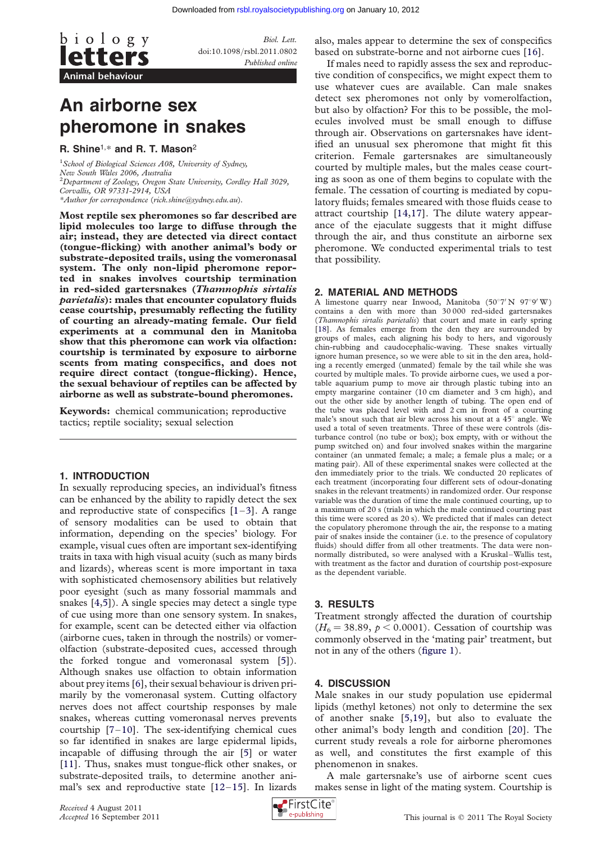

Biol. Lett. doi:10.1098/rsbl.2011.0802 Published online

# An airborne sex pheromone in snakes

### R. Shine<sup>1,\*</sup> and R. T. Mason<sup>2</sup>

<sup>1</sup>School of Biological Sciences A08, University of Sydney, New South Wales 2006, Australia 2 Department of Zoology, Oregon State University, Cordley Hall 3029, Corvallis, OR 97331-2914, USA \*Author for correspondence ([rick.shine@sydney.edu.au](mailto:rick.shine@sydney.edu.au)).

Most reptile sex pheromones so far described are lipid molecules too large to diffuse through the air; instead, they are detected via direct contact (tongue-flicking) with another animal's body or substrate-deposited trails, using the vomeronasal system. The only non-lipid pheromone reported in snakes involves courtship termination in red-sided gartersnakes (Thamnophis sirtalis parietalis): males that encounter copulatory fluids cease courtship, presumably reflecting the futility of courting an already-mating female. Our field experiments at a communal den in Manitoba show that this pheromone can work via olfaction: courtship is terminated by exposure to airborne scents from mating conspecifics, and does not require direct contact (tongue-flicking). Hence, the sexual behaviour of reptiles can be affected by airborne as well as substrate-bound pheromones.

Keywords: chemical communication; reproductive tactics; reptile sociality; sexual selection

#### 1. INTRODUCTION

In sexually reproducing species, an individual's fitness can be enhanced by the ability to rapidly detect the sex and reproductive state of conspecifics  $[1-3]$  $[1-3]$  $[1-3]$ . A range of sensory modalities can be used to obtain that information, depending on the species' biology. For example, visual cues often are important sex-identifying traits in taxa with high visual acuity (such as many birds and lizards), whereas scent is more important in taxa with sophisticated chemosensory abilities but relatively poor eyesight (such as many fossorial mammals and snakes [\[4,5\]](#page-2-0)). A single species may detect a single type of cue using more than one sensory system. In snakes, for example, scent can be detected either via olfaction (airborne cues, taken in through the nostrils) or vomerolfaction (substrate-deposited cues, accessed through the forked tongue and vomeronasal system [[5](#page-2-0)]). Although snakes use olfaction to obtain information about prey items [\[6](#page-2-0)], their sexual behaviour is driven primarily by the vomeronasal system. Cutting olfactory nerves does not affect courtship responses by male snakes, whereas cutting vomeronasal nerves prevents courtship  $[7-10]$  $[7-10]$  $[7-10]$  $[7-10]$ . The sex-identifying chemical cues so far identified in snakes are large epidermal lipids, incapable of diffusing through the air [\[5\]](#page-2-0) or water [\[11](#page-2-0)]. Thus, snakes must tongue-flick other snakes, or substrate-deposited trails, to determine another animal's sex and reproductive state  $[12-15]$  $[12-15]$  $[12-15]$  $[12-15]$ . In lizards

also, males appear to determine the sex of conspecifics based on substrate-borne and not airborne cues [\[16](#page-3-0)].

If males need to rapidly assess the sex and reproductive condition of conspecifics, we might expect them to use whatever cues are available. Can male snakes detect sex pheromones not only by vomerolfaction, but also by olfaction? For this to be possible, the molecules involved must be small enough to diffuse through air. Observations on gartersnakes have identified an unusual sex pheromone that might fit this criterion. Female gartersnakes are simultaneously courted by multiple males, but the males cease courting as soon as one of them begins to copulate with the female. The cessation of courting is mediated by copulatory fluids; females smeared with those fluids cease to attract courtship [[14,17\]](#page-3-0). The dilute watery appearance of the ejaculate suggests that it might diffuse through the air, and thus constitute an airborne sex pheromone. We conducted experimental trials to test that possibility.

#### 2. MATERIAL AND METHODS

A limestone quarry near Inwood, Manitoba (50°7' N 97°9' W) contains a den with more than 30 000 red-sided gartersnakes (Thamnophis sirtalis parietalis) that court and mate in early spring [[18](#page-3-0)]. As females emerge from the den they are surrounded by groups of males, each aligning his body to hers, and vigorously chin-rubbing and caudocephalic-waving. These snakes virtually ignore human presence, so we were able to sit in the den area, holding a recently emerged (unmated) female by the tail while she was courted by multiple males. To provide airborne cues, we used a portable aquarium pump to move air through plastic tubing into an empty margarine container (10 cm diameter and 3 cm high), and out the other side by another length of tubing. The open end of the tube was placed level with and 2 cm in front of a courting male's snout such that air blew across his snout at a  $45^\circ$  angle. We used a total of seven treatments. Three of these were controls (disturbance control (no tube or box); box empty, with or without the pump switched on) and four involved snakes within the margarine container (an unmated female; a male; a female plus a male; or a mating pair). All of these experimental snakes were collected at the den immediately prior to the trials. We conducted 20 replicates of each treatment (incorporating four different sets of odour-donating snakes in the relevant treatments) in randomized order. Our response variable was the duration of time the male continued courting, up to a maximum of 20 s (trials in which the male continued courting past this time were scored as 20 s). We predicted that if males can detect the copulatory pheromone through the air, the response to a mating pair of snakes inside the container (i.e. to the presence of copulatory fluids) should differ from all other treatments. The data were nonnormally distributed, so were analysed with a Kruskal–Wallis test, with treatment as the factor and duration of courtship post-exposure as the dependent variable.

## 3. RESULTS

Treatment strongly affected the duration of courtship  $(H<sub>6</sub> = 38.89, p < 0.0001)$ . Cessation of courtship was commonly observed in the 'mating pair' treatment, but not in any of the others [\(figure 1](#page-2-0)).

## 4. DISCUSSION

Male snakes in our study population use epidermal lipids (methyl ketones) not only to determine the sex of another snake [[5](#page-2-0)[,19](#page-3-0)], but also to evaluate the other animal's body length and condition [\[20](#page-3-0)]. The current study reveals a role for airborne pheromones as well, and constitutes the first example of this phenomenon in snakes.

A male gartersnake's use of airborne scent cues makes sense in light of the mating system. Courtship is

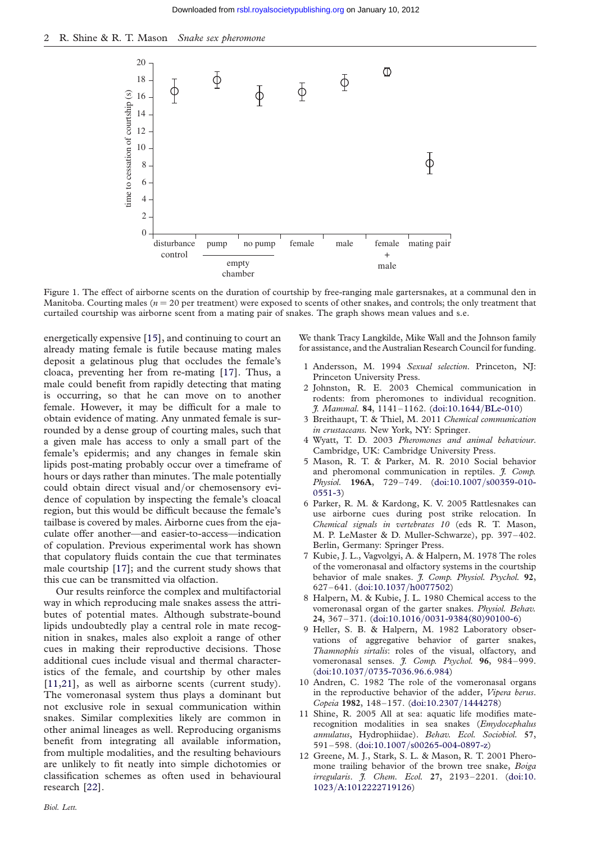<span id="page-2-0"></span>



Figure 1. The effect of airborne scents on the duration of courtship by free-ranging male gartersnakes, at a communal den in Manitoba. Courting males ( $n = 20$  per treatment) were exposed to scents of other snakes, and controls; the only treatment that curtailed courtship was airborne scent from a mating pair of snakes. The graph shows mean values and s.e.

energetically expensive [[15\]](#page-3-0), and continuing to court an already mating female is futile because mating males deposit a gelatinous plug that occludes the female's cloaca, preventing her from re-mating [\[17\]](#page-3-0). Thus, a male could benefit from rapidly detecting that mating is occurring, so that he can move on to another female. However, it may be difficult for a male to obtain evidence of mating. Any unmated female is surrounded by a dense group of courting males, such that a given male has access to only a small part of the female's epidermis; and any changes in female skin lipids post-mating probably occur over a timeframe of hours or days rather than minutes. The male potentially could obtain direct visual and/or chemosensory evidence of copulation by inspecting the female's cloacal region, but this would be difficult because the female's tailbase is covered by males. Airborne cues from the ejaculate offer another—and easier-to-access—indication of copulation. Previous experimental work has shown that copulatory fluids contain the cue that terminates male courtship [[17\]](#page-3-0); and the current study shows that this cue can be transmitted via olfaction.

Our results reinforce the complex and multifactorial way in which reproducing male snakes assess the attributes of potential mates. Although substrate-bound lipids undoubtedly play a central role in mate recognition in snakes, males also exploit a range of other cues in making their reproductive decisions. Those additional cues include visual and thermal characteristics of the female, and courtship by other males [11[,21\]](#page-3-0), as well as airborne scents (current study). The vomeronasal system thus plays a dominant but not exclusive role in sexual communication within snakes. Similar complexities likely are common in other animal lineages as well. Reproducing organisms benefit from integrating all available information, from multiple modalities, and the resulting behaviours are unlikely to fit neatly into simple dichotomies or classification schemes as often used in behavioural research [[22\]](#page-3-0).

We thank Tracy Langkilde, Mike Wall and the Johnson family for assistance, and the Australian Research Council for funding.

- 1 Andersson, M. 1994 Sexual selection. Princeton, NJ: Princeton University Press.
- 2 Johnston, R. E. 2003 Chemical communication in rodents: from pheromones to individual recognition. J. Mammal. 84, 1141–1162. [\(doi:10.1644](http://dx.doi.org/10.1644/BLe-010)/BLe-010)
- 3 Breithaupt, T. & Thiel, M. 2011 Chemical communication in crustaceans. New York, NY: Springer.
- 4 Wyatt, T. D. 2003 Pheromones and animal behaviour. Cambridge, UK: Cambridge University Press.
- 5 Mason, R. T. & Parker, M. R. 2010 Social behavior and pheromonal communication in reptiles. *J. Comp.* Physiol. 196A, 729-749. (doi:10.1007/[s00359-010-](http://dx.doi.org/10.1007/s00359-010-0551-3) [0551-3\)](http://dx.doi.org/10.1007/s00359-010-0551-3)
- 6 Parker, R. M. & Kardong, K. V. 2005 Rattlesnakes can use airborne cues during post strike relocation. In Chemical signals in vertebrates 10 (eds R. T. Mason, M. P. LeMaster & D. Muller-Schwarze), pp. 397–402. Berlin, Germany: Springer Press.
- 7 Kubie, J. L., Vagvolgyi, A. & Halpern, M. 1978 The roles of the vomeronasal and olfactory systems in the courtship behavior of male snakes. J. Comp. Physiol. Psychol. 92, 627–641. ([doi:10.1037](http://dx.doi.org/10.1037/h0077502)/h0077502)
- 8 Halpern, M. & Kubie, J. L. 1980 Chemical access to the vomeronasal organ of the garter snakes. Physiol. Behav. 24, 367–371. (doi:10.1016/[0031-9384\(80\)90100-6\)](http://dx.doi.org/10.1016/0031-9384(80)90100-6)
- 9 Heller, S. B. & Halpern, M. 1982 Laboratory observations of aggregative behavior of garter snakes, Thamnophis sirtalis: roles of the visual, olfactory, and vomeronasal senses. *J. Comp. Psychol.* 96, 984-999. (doi:10.1037/[0735-7036.96.6.984\)](http://dx.doi.org/10.1037/0735-7036.96.6.984)
- 10 Andren, C. 1982 The role of the vomeronasal organs in the reproductive behavior of the adder, Vipera berus. Copeia 1982, 148–157. ([doi:10.2307](http://dx.doi.org/10.2307/1444278)/1444278)
- 11 Shine, R. 2005 All at sea: aquatic life modifies materecognition modalities in sea snakes (Emydocephalus annulatus, Hydrophiidae). Behav. Ecol. Sociobiol. 57, 591–598. (doi:10.1007/[s00265-004-0897-z](http://dx.doi.org/10.1007/s00265-004-0897-z))
- 12 Greene, M. J., Stark, S. L. & Mason, R. T. 2001 Pheromone trailing behavior of the brown tree snake, Boiga irregularis. J. Chem. Ecol. 27, 2193–2201. [\(doi:10.](http://dx.doi.org/10.1023/A:1012222719126) 1023/[A:1012222719126](http://dx.doi.org/10.1023/A:1012222719126))